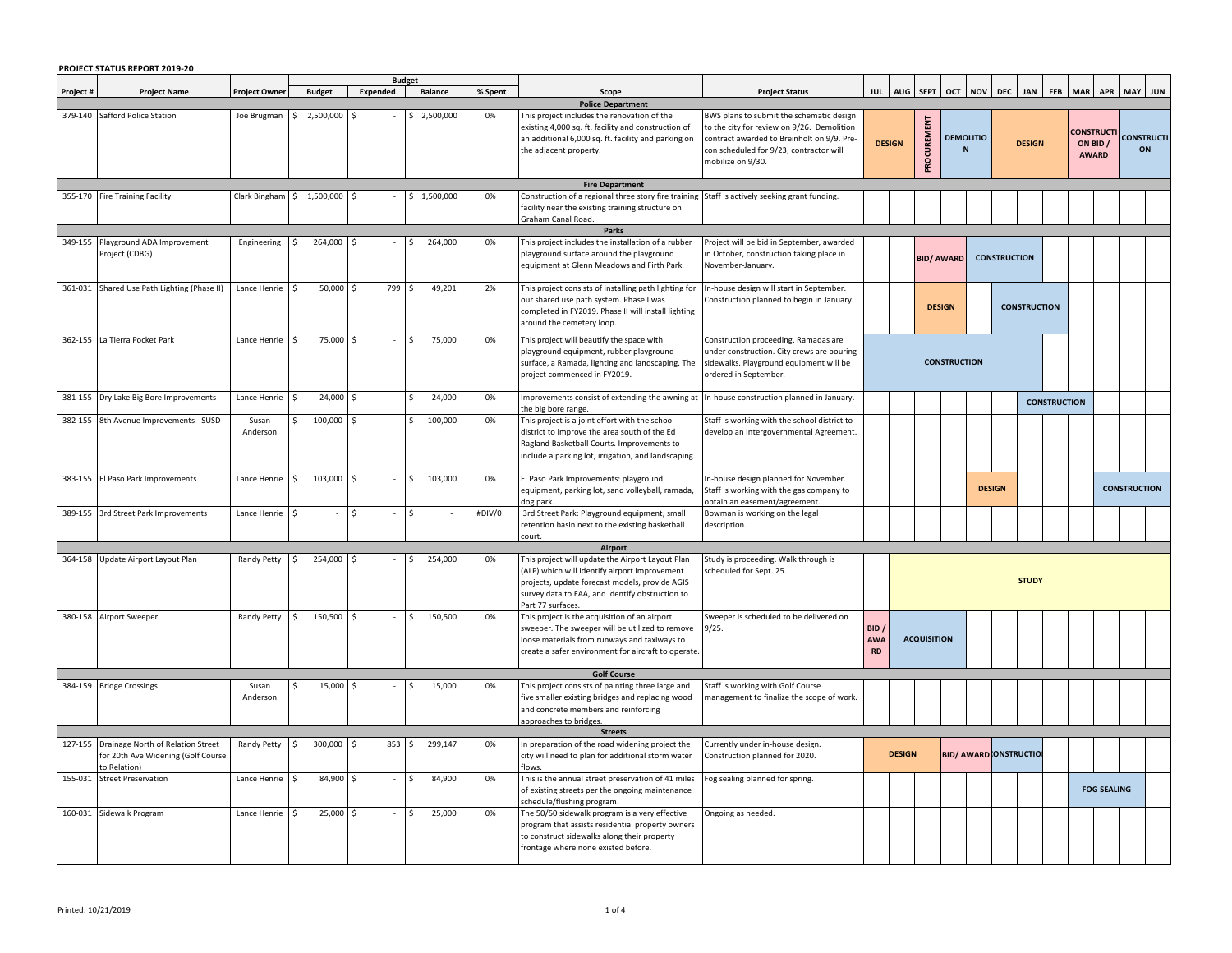| <b>PROJECT STATUS REPORT 2019-20</b> |                                                                                         |                      |                            |          |                                 |         |                                                                                                                                                                                                                            |                                                                                                                                                                                                      |                                  |               |                              |                       |                               |                     |                     |  |          |                                  |                     |                         |
|--------------------------------------|-----------------------------------------------------------------------------------------|----------------------|----------------------------|----------|---------------------------------|---------|----------------------------------------------------------------------------------------------------------------------------------------------------------------------------------------------------------------------------|------------------------------------------------------------------------------------------------------------------------------------------------------------------------------------------------------|----------------------------------|---------------|------------------------------|-----------------------|-------------------------------|---------------------|---------------------|--|----------|----------------------------------|---------------------|-------------------------|
| Project #                            | <b>Project Name</b>                                                                     | <b>Project Owner</b> | <b>Budget</b>              | Expended | <b>Budget</b><br><b>Balance</b> | % Spent | Scope                                                                                                                                                                                                                      | <b>Project Status</b>                                                                                                                                                                                |                                  |               | AUG SEPT OCT NOV DEC JAN FEB |                       |                               |                     |                     |  |          |                                  | MAR APR MAY JUN     |                         |
| <b>Police Department</b>             |                                                                                         |                      |                            |          |                                 |         |                                                                                                                                                                                                                            |                                                                                                                                                                                                      |                                  |               |                              |                       |                               |                     |                     |  |          |                                  |                     |                         |
| 379-140                              | Safford Police Station                                                                  | Joe Brugman          | 2,500,000                  |          | 2,500,000                       | 0%      | This project includes the renovation of the<br>existing 4,000 sq. ft. facility and construction of<br>an additional 6,000 sq. ft. facility and parking on<br>the adjacent property.                                        | BWS plans to submit the schematic design<br>to the city for review on 9/26. Demolition<br>contract awarded to Breinholt on 9/9. Pre-<br>con scheduled for 9/23, contractor will<br>mobilize on 9/30. |                                  | <b>DESIGN</b> | PROCUREMENT                  | <b>DEMOLITIO</b><br>N |                               |                     | <b>DESIGN</b>       |  | ON BID / | <b>CONSTRUCT</b><br><b>AWARD</b> |                     | <b>CONSTRUCTI</b><br>ON |
|                                      |                                                                                         |                      |                            |          |                                 | 0%      | <b>Fire Department</b>                                                                                                                                                                                                     |                                                                                                                                                                                                      |                                  |               |                              |                       |                               |                     |                     |  |          |                                  |                     |                         |
|                                      | 355-170 Fire Training Facility                                                          |                      | Clark Bingham \$ 1,500,000 |          | \$1,500,000                     |         | Construction of a regional three story fire training<br>facility near the existing training structure on<br>Graham Canal Road.<br><b>Parks</b>                                                                             | Staff is actively seeking grant funding.                                                                                                                                                             |                                  |               |                              |                       |                               |                     |                     |  |          |                                  |                     |                         |
|                                      | 349-155 Playground ADA Improvement                                                      | Engineering          | 264,000                    |          | 264,000<br>Š.                   | 0%      | This project includes the installation of a rubber                                                                                                                                                                         | Project will be bid in September, awarded                                                                                                                                                            |                                  |               |                              |                       |                               |                     |                     |  |          |                                  |                     |                         |
|                                      | Project (CDBG)                                                                          |                      |                            |          |                                 |         | playground surface around the playground<br>equipment at Glenn Meadows and Firth Park.                                                                                                                                     | in October, construction taking place in<br>November-January.                                                                                                                                        |                                  |               | <b>BID/ AWARD</b>            |                       |                               | <b>CONSTRUCTION</b> |                     |  |          |                                  |                     |                         |
|                                      | 361-031 Shared Use Path Lighting (Phase II)                                             | Lance Henrie         | 50,000                     | 799      | 49,201<br>Ŝ                     | 2%      | This project consists of installing path lighting for<br>our shared use path system. Phase I was<br>completed in FY2019. Phase II will install lighting<br>around the cemetery loop.                                       | In-house design will start in September.<br>Construction planned to begin in January.                                                                                                                |                                  |               | <b>DESIGN</b>                |                       |                               |                     | <b>CONSTRUCTION</b> |  |          |                                  |                     |                         |
| 362-155                              | La Tierra Pocket Park                                                                   | Lance Henrie         | 75,000<br>Ŝ.               |          | 75,000<br>Š.                    | 0%      | This project will beautify the space with<br>playground equipment, rubber playground<br>surface, a Ramada, lighting and landscaping. The<br>project commenced in FY2019.                                                   | Construction proceeding. Ramadas are<br>under construction. City crews are pouring<br>sidewalks. Playground equipment will be<br>ordered in September.                                               |                                  |               |                              | <b>CONSTRUCTION</b>   |                               |                     |                     |  |          |                                  |                     |                         |
| 381-155                              | Dry Lake Big Bore Improvements                                                          | Lance Henrie         | 24,000<br>Ŝ.               |          | 24,000                          | 0%      | mprovements consist of extending the awning at<br>the big bore range.                                                                                                                                                      | In-house construction planned in January.                                                                                                                                                            |                                  |               |                              | <b>CONSTRUCTION</b>   |                               |                     |                     |  |          |                                  |                     |                         |
| 382-155                              | 8th Avenue Improvements - SUSD                                                          | Susan<br>Anderson    | 100,000                    |          | 100,000                         | 0%      | This project is a joint effort with the school<br>district to improve the area south of the Ed<br>Ragland Basketball Courts. Improvements to<br>include a parking lot, irrigation, and landscaping.                        | Staff is working with the school district to<br>develop an Intergovernmental Agreement.                                                                                                              |                                  |               |                              |                       |                               |                     |                     |  |          |                                  |                     |                         |
|                                      | 383-155 El Paso Park Improvements                                                       | Lance Henrie         | 103,000<br>\$              |          | 103,000<br>$\zeta$              | 0%      | El Paso Park Improvements: playground<br>equipment, parking lot, sand volleyball, ramada,<br>dog park.                                                                                                                     | In-house design planned for November.<br>Staff is working with the gas company to<br>obtain an easement/agreement.                                                                                   |                                  |               |                              |                       |                               | <b>DESIGN</b>       |                     |  |          |                                  | <b>CONSTRUCTION</b> |                         |
|                                      | 389-155 3rd Street Park Improvements                                                    | Lance Henrie         | l \$                       |          | Ŝ.                              | #DIV/0! | 3rd Street Park: Playground equipment, small<br>retention basin next to the existing basketball<br>court.                                                                                                                  | Bowman is working on the legal<br>description.                                                                                                                                                       |                                  |               |                              |                       |                               |                     |                     |  |          |                                  |                     |                         |
|                                      |                                                                                         |                      |                            |          |                                 |         | Airport                                                                                                                                                                                                                    |                                                                                                                                                                                                      |                                  |               |                              |                       |                               |                     |                     |  |          |                                  |                     |                         |
|                                      | 364-158 Update Airport Layout Plan                                                      | Randy Petty          | 254,000                    |          | 254,000                         | 0%      | his project will update the Airport Layout Plan<br>(ALP) which will identify airport improvement<br>projects, update forecast models, provide AGIS<br>survey data to FAA, and identify obstruction to<br>Part 77 surfaces. | itudy is proceeding. Walk through is<br>scheduled for Sept. 25.                                                                                                                                      |                                  |               |                              |                       |                               |                     | <b>STUDY</b>        |  |          |                                  |                     |                         |
|                                      | 380-158 Airport Sweeper                                                                 | Randy Petty          | 150,500<br>$\mathsf{S}$    |          | 150,500<br>Ŝ.                   | 0%      | This project is the acquisition of an airport<br>sweeper. The sweeper will be utilized to remove<br>loose materials from runways and taxiways to<br>create a safer environment for aircraft to operate.                    | Sweeper is scheduled to be delivered on<br>9/25.                                                                                                                                                     | BID /<br><b>AWA</b><br><b>RD</b> |               | <b>ACQUISITION</b>           |                       |                               |                     |                     |  |          |                                  |                     |                         |
|                                      |                                                                                         |                      |                            |          |                                 |         | <b>Golf Course</b>                                                                                                                                                                                                         |                                                                                                                                                                                                      |                                  |               |                              |                       |                               |                     |                     |  |          |                                  |                     |                         |
|                                      | 384-159 Bridge Crossings                                                                | Susan<br>Anderson    | 15,000                     |          | 15,000                          | 0%      | This project consists of painting three large and<br>five smaller existing bridges and replacing wood<br>and concrete members and reinforcing<br>approaches to bridges.                                                    | Staff is working with Golf Course<br>management to finalize the scope of work.                                                                                                                       |                                  |               |                              |                       |                               |                     |                     |  |          |                                  |                     |                         |
|                                      |                                                                                         |                      |                            |          |                                 |         | <b>Streets</b>                                                                                                                                                                                                             |                                                                                                                                                                                                      |                                  |               |                              |                       |                               |                     |                     |  |          |                                  |                     |                         |
| 127-155                              | Drainage North of Relation Street<br>for 20th Ave Widening (Golf Course<br>to Relation) | Randy Petty          | 300,000<br>Ŝ.              | 853      | 299,147<br>Ŝ.                   | 0%      | In preparation of the road widening project the<br>city will need to plan for additional storm water<br>flows                                                                                                              | Currently under in-house design.<br>Construction planned for 2020.                                                                                                                                   |                                  | <b>DESIGN</b> |                              |                       | <b>BID/ AWARD ONSTRUCTION</b> |                     |                     |  |          |                                  |                     |                         |
| 155-031                              | <b>Street Preservation</b>                                                              | Lance Henrie         | 84,900<br>\$               | Ś.       | 84,900<br>\$                    | 0%      | This is the annual street preservation of 41 miles<br>of existing streets per the ongoing maintenance<br>schedule/flushing program.                                                                                        | Fog sealing planned for spring.                                                                                                                                                                      |                                  |               |                              |                       |                               |                     |                     |  |          | <b>FOG SEALING</b>               |                     |                         |
|                                      | 160-031 Sidewalk Program                                                                | Lance Henrie         | 25,000<br>l \$             |          | 25,000                          | 0%      | The 50/50 sidewalk program is a very effective<br>program that assists residential property owners<br>to construct sidewalks along their property<br>frontage where none existed before.                                   | Ongoing as needed.                                                                                                                                                                                   |                                  |               |                              |                       |                               |                     |                     |  |          |                                  |                     |                         |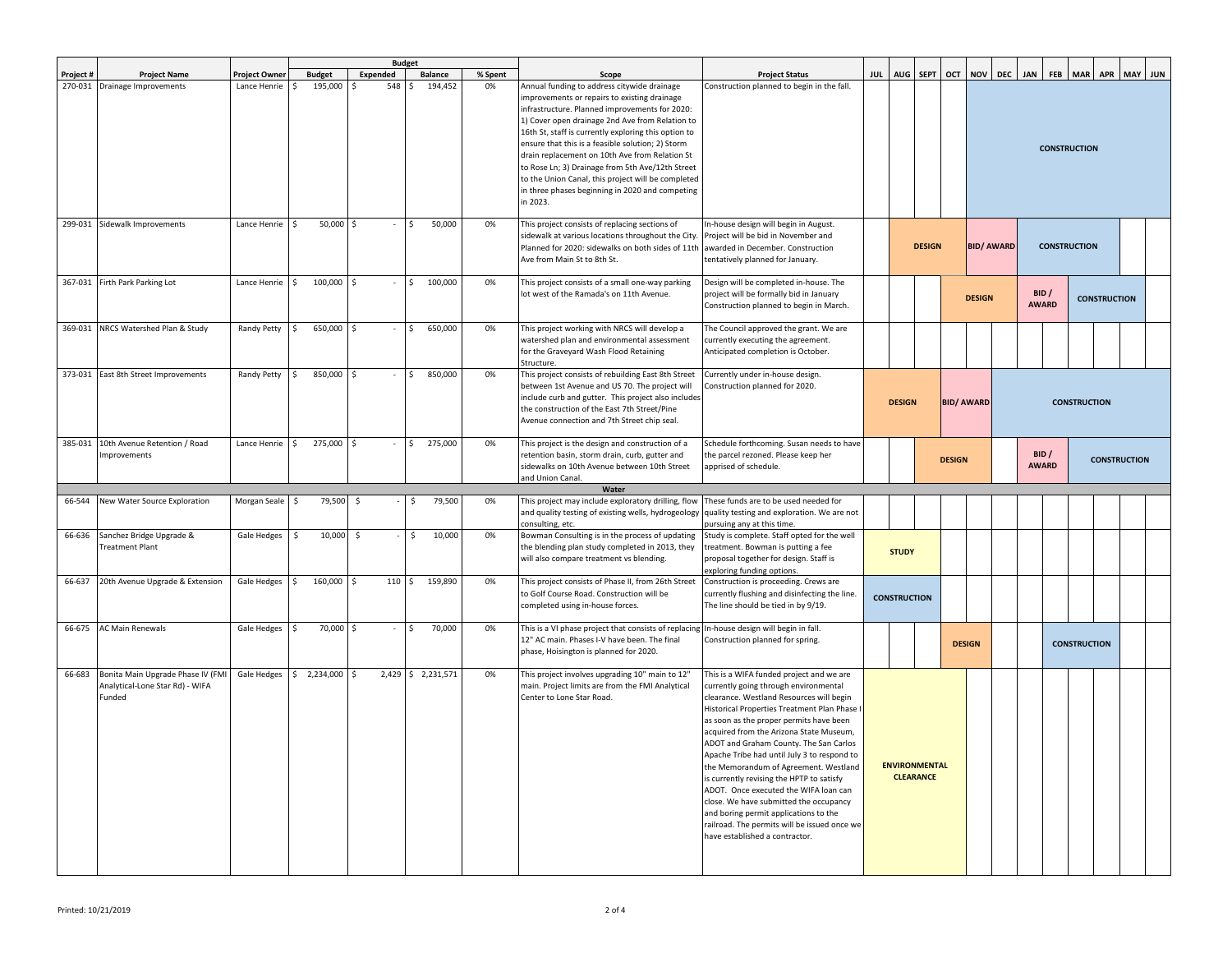|           |                                                                                |                      |                    |                          | <b>Budget</b>      |         |                                                                                                                                                                                                                                                                                                                                                                                                                                                                                                                                          |                                                                                                                                                                                                                                                                                                                                                                                                                                                                                                                                                                                                                                                                  |     |                     |                  |                      |            |                     |                       |                                              |                     |                     |         |                     |  |  |
|-----------|--------------------------------------------------------------------------------|----------------------|--------------------|--------------------------|--------------------|---------|------------------------------------------------------------------------------------------------------------------------------------------------------------------------------------------------------------------------------------------------------------------------------------------------------------------------------------------------------------------------------------------------------------------------------------------------------------------------------------------------------------------------------------------|------------------------------------------------------------------------------------------------------------------------------------------------------------------------------------------------------------------------------------------------------------------------------------------------------------------------------------------------------------------------------------------------------------------------------------------------------------------------------------------------------------------------------------------------------------------------------------------------------------------------------------------------------------------|-----|---------------------|------------------|----------------------|------------|---------------------|-----------------------|----------------------------------------------|---------------------|---------------------|---------|---------------------|--|--|
| Project # | <b>Project Name</b>                                                            | <b>Project Owner</b> | <b>Budget</b>      | Expended                 | <b>Balance</b>     | % Spent | Scope                                                                                                                                                                                                                                                                                                                                                                                                                                                                                                                                    | <b>Project Status</b>                                                                                                                                                                                                                                                                                                                                                                                                                                                                                                                                                                                                                                            | JUL | AUG SEPT            |                  | OCT                  | <b>NOV</b> | DEC                 | <b>JAN</b>            | <b>FEB</b>                                   | MAR APR             |                     | MAY JUN |                     |  |  |
|           | 270-031 Drainage Improvements                                                  | Lance Henrie         | 195,000            | 548<br>-Ś                | 194,452<br>Ŝ.      | 0%      | Annual funding to address citywide drainage<br>improvements or repairs to existing drainage<br>infrastructure. Planned improvements for 2020:<br>1) Cover open drainage 2nd Ave from Relation to<br>16th St, staff is currently exploring this option to<br>ensure that this is a feasible solution; 2) Storm<br>drain replacement on 10th Ave from Relation St<br>to Rose Ln; 3) Drainage from 5th Ave/12th Street<br>to the Union Canal, this project will be completed<br>in three phases beginning in 2020 and competing<br>in 2023. | Construction planned to begin in the fall.                                                                                                                                                                                                                                                                                                                                                                                                                                                                                                                                                                                                                       |     |                     |                  |                      |            |                     | <b>CONSTRUCTION</b>   |                                              |                     |                     |         |                     |  |  |
| 299-031   | Sidewalk Improvements                                                          | Lance Henrie         | $50,000$ \$<br>Ŝ.  |                          | 50,000             | 0%      | This project consists of replacing sections of<br>sidewalk at various locations throughout the City.<br>Planned for 2020: sidewalks on both sides of 11th<br>Ave from Main St to 8th St.                                                                                                                                                                                                                                                                                                                                                 | In-house design will begin in August.<br>Project will be bid in November and<br>awarded in December. Construction<br>tentatively planned for January.                                                                                                                                                                                                                                                                                                                                                                                                                                                                                                            |     |                     | <b>DESIGN</b>    |                      |            |                     | <b>BID/ AWARD</b>     |                                              |                     |                     |         | <b>CONSTRUCTION</b> |  |  |
|           | 367-031 Firth Park Parking Lot                                                 | Lance Henrie         | 100,000 \$<br>Ŝ.   |                          | 100,000<br>Ŝ.      | 0%      | This project consists of a small one-way parking<br>lot west of the Ramada's on 11th Avenue.                                                                                                                                                                                                                                                                                                                                                                                                                                             | Design will be completed in-house. The<br>project will be formally bid in January<br>Construction planned to begin in March.                                                                                                                                                                                                                                                                                                                                                                                                                                                                                                                                     |     |                     |                  | <b>DESIGN</b>        |            |                     | BID /<br><b>AWARD</b> |                                              |                     | <b>CONSTRUCTION</b> |         |                     |  |  |
|           | 369-031 NRCS Watershed Plan & Study                                            | Randy Petty          | \$<br>650,000 \$   | $\overline{\phantom{a}}$ | 650,000<br>\$      | 0%      | This project working with NRCS will develop a<br>watershed plan and environmental assessment<br>for the Graveyard Wash Flood Retaining<br>Structure.                                                                                                                                                                                                                                                                                                                                                                                     | The Council approved the grant. We are<br>currently executing the agreement.<br>Anticipated completion is October.                                                                                                                                                                                                                                                                                                                                                                                                                                                                                                                                               |     |                     |                  |                      |            |                     |                       |                                              |                     |                     |         |                     |  |  |
|           | 373-031 East 8th Street Improvements                                           | Randy Petty          | 850,000 \$         |                          | 850,000            | 0%      | This project consists of rebuilding East 8th Street<br>between 1st Avenue and US 70. The project will<br>include curb and gutter. This project also includes<br>the construction of the East 7th Street/Pine<br>Avenue connection and 7th Street chip seal.                                                                                                                                                                                                                                                                              | Currently under in-house design.<br>Construction planned for 2020.                                                                                                                                                                                                                                                                                                                                                                                                                                                                                                                                                                                               |     | <b>DESIGN</b>       |                  | <b>BID/AWARD</b>     |            | <b>CONSTRUCTION</b> |                       |                                              |                     |                     |         |                     |  |  |
| 385-031   | 10th Avenue Retention / Road<br><b>Improvements</b>                            | Lance Henrie         | 275,000 \$<br>\$   |                          | 275,000            | 0%      | This project is the design and construction of a<br>retention basin, storm drain, curb, gutter and<br>sidewalks on 10th Avenue between 10th Street<br>and Union Canal.                                                                                                                                                                                                                                                                                                                                                                   | Schedule forthcoming. Susan needs to have<br>the parcel rezoned. Please keep her<br>apprised of schedule.                                                                                                                                                                                                                                                                                                                                                                                                                                                                                                                                                        |     |                     |                  | <b>DESIGN</b>        |            |                     |                       | BID /<br><b>CONSTRUCTION</b><br><b>AWARD</b> |                     |                     |         |                     |  |  |
|           |                                                                                |                      |                    |                          |                    |         | Water                                                                                                                                                                                                                                                                                                                                                                                                                                                                                                                                    |                                                                                                                                                                                                                                                                                                                                                                                                                                                                                                                                                                                                                                                                  |     |                     |                  |                      |            |                     |                       |                                              |                     |                     |         |                     |  |  |
| 66-544    | New Water Source Exploration                                                   | Morgan Seale \$      | 79,500             | \$                       | 79,500<br>\$       | 0%      | This project may include exploratory drilling, flow<br>and quality testing of existing wells, hydrogeology<br>consulting, etc.                                                                                                                                                                                                                                                                                                                                                                                                           | These funds are to be used needed for<br>quality testing and exploration. We are not<br>pursuing any at this time.                                                                                                                                                                                                                                                                                                                                                                                                                                                                                                                                               |     |                     |                  |                      |            |                     |                       |                                              |                     |                     |         |                     |  |  |
| 66-636    | Sanchez Bridge Upgrade &<br>reatment Plant                                     | Gale Hedges          | 10,000<br>-S       | - \$                     | 10,000<br>Ś.       | 0%      | Bowman Consulting is in the process of updating<br>the blending plan study completed in 2013, they<br>will also compare treatment vs blending.                                                                                                                                                                                                                                                                                                                                                                                           | Study is complete. Staff opted for the well<br>treatment. Bowman is putting a fee<br>proposal together for design. Staff is<br>exploring funding options.                                                                                                                                                                                                                                                                                                                                                                                                                                                                                                        |     | <b>STUDY</b>        |                  |                      |            |                     |                       |                                              |                     |                     |         |                     |  |  |
| 66-637    | 20th Avenue Upgrade & Extension                                                | Gale Hedges          | 160,000<br>Ś.      | 110<br>۱\$               | 159,890            | 0%      | This project consists of Phase II, from 26th Street<br>to Golf Course Road. Construction will be<br>completed using in-house forces.                                                                                                                                                                                                                                                                                                                                                                                                     | Construction is proceeding. Crews are<br>currently flushing and disinfecting the line.<br>The line should be tied in by 9/19.                                                                                                                                                                                                                                                                                                                                                                                                                                                                                                                                    |     | <b>CONSTRUCTION</b> |                  |                      |            |                     |                       |                                              |                     |                     |         |                     |  |  |
| 66-675    | <b>AC Main Renewals</b>                                                        | Gale Hedges          | 70,000 \$          |                          | 70,000             | 0%      | This is a VI phase project that consists of replacing In-house design will begin in fall.<br>12" AC main. Phases I-V have been. The final<br>phase, Hoisington is planned for 2020.                                                                                                                                                                                                                                                                                                                                                      | Construction planned for spring.                                                                                                                                                                                                                                                                                                                                                                                                                                                                                                                                                                                                                                 |     |                     |                  | <b>DESIGN</b>        |            |                     |                       |                                              | <b>CONSTRUCTION</b> |                     |         |                     |  |  |
| 66-683    | Bonita Main Upgrade Phase IV (FMI<br>Analytical-Lone Star Rd) - WIFA<br>Funded | Gale Hedges          | 2,234,000 \$<br>\$ |                          | 2,429 \$ 2,231,571 | 0%      | This project involves upgrading 10" main to 12"<br>main. Project limits are from the FMI Analytical<br>Center to Lone Star Road.                                                                                                                                                                                                                                                                                                                                                                                                         | This is a WIFA funded project and we are<br>currently going through environmental<br>clearance. Westland Resources will begin<br>Historical Properties Treatment Plan Phase I<br>as soon as the proper permits have been<br>acquired from the Arizona State Museum,<br>ADOT and Graham County. The San Carlos<br>Apache Tribe had until July 3 to respond to<br>the Memorandum of Agreement. Westland<br>is currently revising the HPTP to satisfy<br>ADOT. Once executed the WIFA loan can<br>close. We have submitted the occupancy<br>and boring permit applications to the<br>railroad. The permits will be issued once we<br>have established a contractor. |     |                     | <b>CLEARANCE</b> | <b>ENVIRONMENTAL</b> |            |                     |                       |                                              |                     |                     |         |                     |  |  |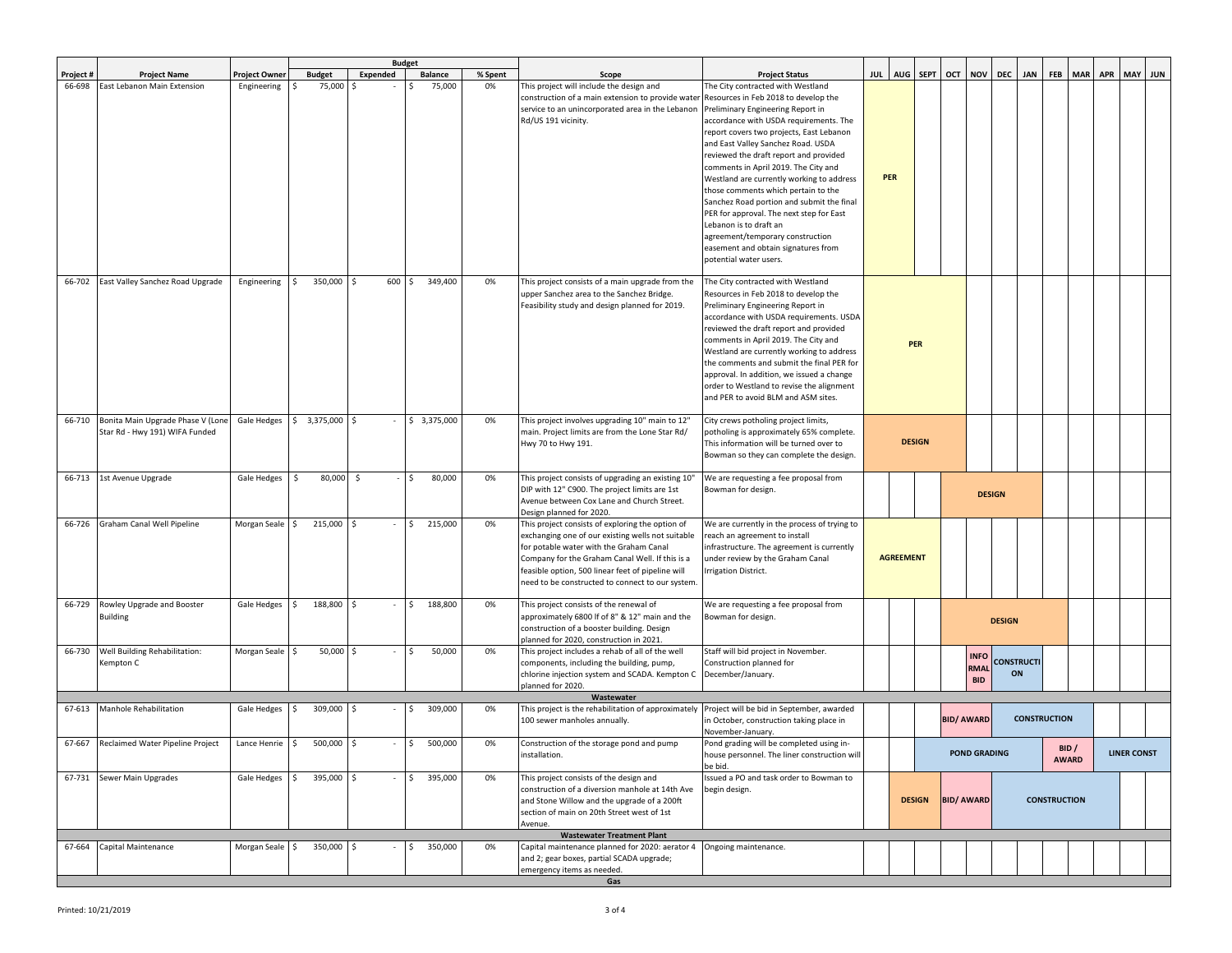|           |                                   |                 |                  | <b>Budget</b>       |              |         |                                                                              |                                                                                        |  |                  |               |                   |                     |                         |                     |                     |              |            |                    |         |
|-----------|-----------------------------------|-----------------|------------------|---------------------|--------------|---------|------------------------------------------------------------------------------|----------------------------------------------------------------------------------------|--|------------------|---------------|-------------------|---------------------|-------------------------|---------------------|---------------------|--------------|------------|--------------------|---------|
| Project # | <b>Project Name</b>               | Project Owner   | <b>Budget</b>    | Expended            | Balance      | % Spent | Scope                                                                        | <b>Project Status</b>                                                                  |  | JUL AUG SEPT     |               | OCT               | <b>NOV</b>          | <b>DEC</b>              | <b>JAN</b>          | <b>FEB</b>          | <b>MAR</b>   | <b>APR</b> |                    | MAY JUN |
| 66-698    | East Lebanon Main Extension       | Engineering     | 75,000<br>Ŝ.     | I\$                 | 75,000       | 0%      | This project will include the design and                                     | The City contracted with Westland                                                      |  |                  |               |                   |                     |                         |                     |                     |              |            |                    |         |
|           |                                   |                 |                  |                     |              |         | construction of a main extension to provide water                            | Resources in Feb 2018 to develop the                                                   |  |                  |               |                   |                     |                         |                     |                     |              |            |                    |         |
|           |                                   |                 |                  |                     |              |         | service to an unincorporated area in the Lebanon                             | Preliminary Engineering Report in                                                      |  |                  |               |                   |                     |                         |                     |                     |              |            |                    |         |
|           |                                   |                 |                  |                     |              |         | Rd/US 191 vicinity.                                                          | accordance with USDA requirements. The                                                 |  |                  |               |                   |                     |                         |                     |                     |              |            |                    |         |
|           |                                   |                 |                  |                     |              |         |                                                                              | report covers two projects, East Lebanon                                               |  |                  |               |                   |                     |                         |                     |                     |              |            |                    |         |
|           |                                   |                 |                  |                     |              |         |                                                                              | and East Valley Sanchez Road. USDA                                                     |  |                  |               |                   |                     |                         |                     |                     |              |            |                    |         |
|           |                                   |                 |                  |                     |              |         |                                                                              | reviewed the draft report and provided<br>comments in April 2019. The City and         |  |                  |               |                   |                     |                         |                     |                     |              |            |                    |         |
|           |                                   |                 |                  |                     |              |         |                                                                              | Westland are currently working to address                                              |  | <b>PER</b>       |               |                   |                     |                         |                     |                     |              |            |                    |         |
|           |                                   |                 |                  |                     |              |         |                                                                              | those comments which pertain to the                                                    |  |                  |               |                   |                     |                         |                     |                     |              |            |                    |         |
|           |                                   |                 |                  |                     |              |         |                                                                              | Sanchez Road portion and submit the final                                              |  |                  |               |                   |                     |                         |                     |                     |              |            |                    |         |
|           |                                   |                 |                  |                     |              |         |                                                                              | PER for approval. The next step for East                                               |  |                  |               |                   |                     |                         |                     |                     |              |            |                    |         |
|           |                                   |                 |                  |                     |              |         |                                                                              | Lebanon is to draft an                                                                 |  |                  |               |                   |                     |                         |                     |                     |              |            |                    |         |
|           |                                   |                 |                  |                     |              |         |                                                                              | agreement/temporary construction                                                       |  |                  |               |                   |                     |                         |                     |                     |              |            |                    |         |
|           |                                   |                 |                  |                     |              |         |                                                                              | easement and obtain signatures from                                                    |  |                  |               |                   |                     |                         |                     |                     |              |            |                    |         |
|           |                                   |                 |                  |                     |              |         |                                                                              | potential water users.                                                                 |  |                  |               |                   |                     |                         |                     |                     |              |            |                    |         |
| 66-702    | East Valley Sanchez Road Upgrade  | Engineering     | 350,000<br>Ŝ.    | 600<br>$\mathsf{S}$ | 349,400      | 0%      | This project consists of a main upgrade from the                             | The City contracted with Westland                                                      |  |                  |               |                   |                     |                         |                     |                     |              |            |                    |         |
|           |                                   |                 |                  |                     |              |         | upper Sanchez area to the Sanchez Bridge.                                    | Resources in Feb 2018 to develop the                                                   |  |                  |               |                   |                     |                         |                     |                     |              |            |                    |         |
|           |                                   |                 |                  |                     |              |         | Feasibility study and design planned for 2019.                               | Preliminary Engineering Report in                                                      |  |                  |               |                   |                     |                         |                     |                     |              |            |                    |         |
|           |                                   |                 |                  |                     |              |         |                                                                              | accordance with USDA requirements. USDA                                                |  |                  |               |                   |                     |                         |                     |                     |              |            |                    |         |
|           |                                   |                 |                  |                     |              |         |                                                                              | reviewed the draft report and provided                                                 |  |                  |               |                   |                     |                         |                     |                     |              |            |                    |         |
|           |                                   |                 |                  |                     |              |         |                                                                              | comments in April 2019. The City and                                                   |  |                  | PER           |                   |                     |                         |                     |                     |              |            |                    |         |
|           |                                   |                 |                  |                     |              |         |                                                                              | Westland are currently working to address                                              |  |                  |               |                   |                     |                         |                     |                     |              |            |                    |         |
|           |                                   |                 |                  |                     |              |         |                                                                              | the comments and submit the final PER for<br>approval. In addition, we issued a change |  |                  |               |                   |                     |                         |                     |                     |              |            |                    |         |
|           |                                   |                 |                  |                     |              |         |                                                                              | order to Westland to revise the alignment                                              |  |                  |               |                   |                     |                         |                     |                     |              |            |                    |         |
|           |                                   |                 |                  |                     |              |         |                                                                              | and PER to avoid BLM and ASM sites.                                                    |  |                  |               |                   |                     |                         |                     |                     |              |            |                    |         |
|           |                                   |                 |                  |                     |              |         |                                                                              |                                                                                        |  |                  |               |                   |                     |                         |                     |                     |              |            |                    |         |
| 66-710    | Bonita Main Upgrade Phase V (Lone | Gale Hedges     | $$3,375,000$ \$  |                     | \$3,375,000  | 0%      | This project involves upgrading 10" main to 12"                              | City crews potholing project limits,                                                   |  |                  |               |                   |                     |                         |                     |                     |              |            |                    |         |
|           | Star Rd - Hwy 191) WIFA Funded    |                 |                  |                     |              |         | main. Project limits are from the Lone Star Rd/                              | potholing is approximately 65% complete.                                               |  |                  | <b>DESIGN</b> |                   |                     |                         |                     |                     |              |            |                    |         |
|           |                                   |                 |                  |                     |              |         | Hwy 70 to Hwy 191.                                                           | This information will be turned over to                                                |  |                  |               |                   |                     |                         |                     |                     |              |            |                    |         |
|           |                                   |                 |                  |                     |              |         |                                                                              | Bowman so they can complete the design.                                                |  |                  |               |                   |                     |                         |                     |                     |              |            |                    |         |
| 66-713    | 1st Avenue Upgrade                | Gale Hedges     | \$<br>80,000     | $\ddot{\mathsf{S}}$ | 80,000<br>Ŝ. | 0%      | This project consists of upgrading an existing 10"                           | We are requesting a fee proposal from                                                  |  |                  |               |                   |                     |                         |                     |                     |              |            |                    |         |
|           |                                   |                 |                  |                     |              |         | DIP with 12" C900. The project limits are 1st                                | Bowman for design.                                                                     |  |                  |               |                   |                     | <b>DESIGN</b>           |                     |                     |              |            |                    |         |
|           |                                   |                 |                  |                     |              |         | Avenue between Cox Lane and Church Street.                                   |                                                                                        |  |                  |               |                   |                     |                         |                     |                     |              |            |                    |         |
| 66-726    | Graham Canal Well Pipeline        | Morgan Seale    | 215,000<br>Ŝ.    | l \$                | 215,000      | 0%      | Design planned for 2020.<br>This project consists of exploring the option of | We are currently in the process of trying to                                           |  |                  |               |                   |                     |                         |                     |                     |              |            |                    |         |
|           |                                   |                 |                  |                     |              |         | exchanging one of our existing wells not suitable                            | reach an agreement to install                                                          |  |                  |               |                   |                     |                         |                     |                     |              |            |                    |         |
|           |                                   |                 |                  |                     |              |         | for potable water with the Graham Canal                                      | nfrastructure. The agreement is currently                                              |  |                  |               |                   |                     |                         |                     |                     |              |            |                    |         |
|           |                                   |                 |                  |                     |              |         | Company for the Graham Canal Well. If this is a                              | under review by the Graham Canal                                                       |  | <b>AGREEMENT</b> |               |                   |                     |                         |                     |                     |              |            |                    |         |
|           |                                   |                 |                  |                     |              |         | feasible option, 500 linear feet of pipeline will                            | rrigation District.                                                                    |  |                  |               |                   |                     |                         |                     |                     |              |            |                    |         |
|           |                                   |                 |                  |                     |              |         | need to be constructed to connect to our system.                             |                                                                                        |  |                  |               |                   |                     |                         |                     |                     |              |            |                    |         |
| 66-729    | Rowley Upgrade and Booster        | Gale Hedges \$  | 188,800 \$       |                     | 188,800      | 0%      | This project consists of the renewal of                                      | We are requesting a fee proposal from                                                  |  |                  |               |                   |                     |                         |                     |                     |              |            |                    |         |
|           | Building                          |                 |                  |                     |              |         | approximately 6800 If of 8" & 12" main and the                               | Bowman for design.                                                                     |  |                  |               |                   |                     |                         |                     |                     |              |            |                    |         |
|           |                                   |                 |                  |                     |              |         | construction of a booster building. Design                                   |                                                                                        |  |                  |               |                   |                     | <b>DESIGN</b>           |                     |                     |              |            |                    |         |
|           |                                   |                 |                  |                     |              |         | planned for 2020, construction in 2021.                                      |                                                                                        |  |                  |               |                   |                     |                         |                     |                     |              |            |                    |         |
| 66-730    | Well Building Rehabilitation:     | Morgan Seale \$ | 50,000 \$        |                     | 50,000       | 0%      | This project includes a rehab of all of the well                             | Staff will bid project in November.                                                    |  |                  |               |                   | <b>INFO</b>         |                         |                     |                     |              |            |                    |         |
|           | Kempton C                         |                 |                  |                     |              |         | components, including the building, pump,                                    | Construction planned for                                                               |  |                  |               |                   | <b>RMAI</b>         | <b>CONSTRUCTI</b><br>ON |                     |                     |              |            |                    |         |
|           |                                   |                 |                  |                     |              |         | chlorine injection system and SCADA. Kempton C<br>planned for 2020.          | December/January.                                                                      |  |                  |               |                   | <b>BID</b>          |                         |                     |                     |              |            |                    |         |
|           |                                   |                 |                  |                     |              |         | Wastewater                                                                   |                                                                                        |  |                  |               |                   |                     |                         |                     |                     |              |            |                    |         |
| 67-613    | Manhole Rehabilitation            | Gale Hedges     | 309,000 \$<br>\$ |                     | 309,000      | 0%      | This project is the rehabilitation of approximately                          | Project will be bid in September, awarded                                              |  |                  |               |                   |                     |                         |                     |                     |              |            |                    |         |
|           |                                   |                 |                  |                     |              |         | 100 sewer manholes annually.                                                 | in October, construction taking place in                                               |  |                  |               | <b>BID/ AWARD</b> |                     |                         | <b>CONSTRUCTION</b> |                     |              |            |                    |         |
| 67-667    | Reclaimed Water Pipeline Project  | Lance Henrie    | \$<br>500,000    | l\$                 | 500,000      | 0%      | Construction of the storage pond and pump                                    | November-January.<br>Pond grading will be completed using in-                          |  |                  |               |                   |                     |                         |                     |                     |              |            |                    |         |
|           |                                   |                 |                  |                     |              |         | installation.                                                                | house personnel. The liner construction will                                           |  |                  |               |                   | <b>POND GRADING</b> |                         |                     |                     | BID /        |            | <b>LINER CONST</b> |         |
|           |                                   |                 |                  |                     |              |         |                                                                              | be bid.                                                                                |  |                  |               |                   |                     |                         |                     |                     | <b>AWARD</b> |            |                    |         |
|           | 67-731 Sewer Main Upgrades        | Gale Hedges     | 395,000 \$<br>\$ |                     | 395,000      | 0%      | This project consists of the design and                                      | Issued a PO and task order to Bowman to                                                |  |                  |               |                   |                     |                         |                     |                     |              |            |                    |         |
|           |                                   |                 |                  |                     |              |         | construction of a diversion manhole at 14th Ave                              | begin design.                                                                          |  |                  |               |                   |                     |                         |                     |                     |              |            |                    |         |
|           |                                   |                 |                  |                     |              |         | and Stone Willow and the upgrade of a 200ft                                  |                                                                                        |  |                  | <b>DESIGN</b> | <b>BID/ AWARD</b> |                     |                         |                     | <b>CONSTRUCTION</b> |              |            |                    |         |
|           |                                   |                 |                  |                     |              |         | section of main on 20th Street west of 1st                                   |                                                                                        |  |                  |               |                   |                     |                         |                     |                     |              |            |                    |         |
|           |                                   |                 |                  |                     |              |         | Avenue.<br><b>Wastewater Treatment Plant</b>                                 |                                                                                        |  |                  |               |                   |                     |                         |                     |                     |              |            |                    |         |
| 67-664    | Capital Maintenance               | Morgan Seale \$ | 350,000 \$       |                     | 350,000      | 0%      | Capital maintenance planned for 2020: aerator 4                              | Ongoing maintenance.                                                                   |  |                  |               |                   |                     |                         |                     |                     |              |            |                    |         |
|           |                                   |                 |                  |                     |              |         | and 2; gear boxes, partial SCADA upgrade;                                    |                                                                                        |  |                  |               |                   |                     |                         |                     |                     |              |            |                    |         |
|           |                                   |                 |                  |                     |              |         | emergency items as needed.                                                   |                                                                                        |  |                  |               |                   |                     |                         |                     |                     |              |            |                    |         |
|           |                                   |                 |                  |                     |              |         | Gas                                                                          |                                                                                        |  |                  |               |                   |                     |                         |                     |                     |              |            |                    |         |